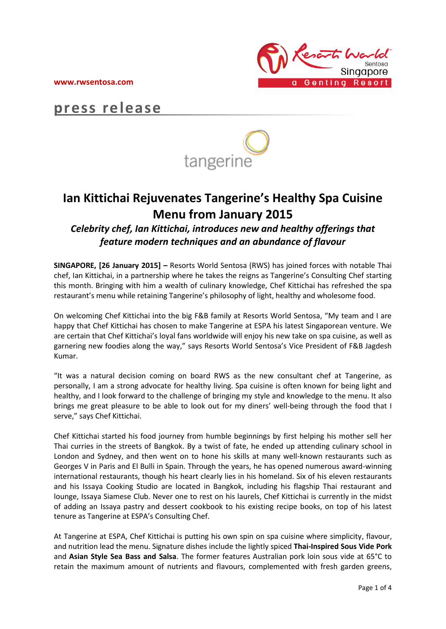**www.rwsentosa.com**



# **press release**



# **Ian Kittichai Rejuvenates Tangerine's Healthy Spa Cuisine Menu from January 2015**

*Celebrity chef, Ian Kittichai, introduces new and healthy offerings that feature modern techniques and an abundance of flavour*

**SINGAPORE, [26 January 2015] –** Resorts World Sentosa (RWS) has joined forces with notable Thai chef, Ian Kittichai, in a partnership where he takes the reigns as Tangerine's Consulting Chef starting this month. Bringing with him a wealth of culinary knowledge, Chef Kittichai has refreshed the spa restaurant's menu while retaining Tangerine's philosophy of light, healthy and wholesome food.

On welcoming Chef Kittichai into the big F&B family at Resorts World Sentosa, "My team and I are happy that Chef Kittichai has chosen to make Tangerine at ESPA his latest Singaporean venture. We are certain that Chef Kittichai's loyal fans worldwide will enjoy his new take on spa cuisine, as well as garnering new foodies along the way," says Resorts World Sentosa's Vice President of F&B Jagdesh Kumar.

"It was a natural decision coming on board RWS as the new consultant chef at Tangerine, as personally, I am a strong advocate for healthy living. Spa cuisine is often known for being light and healthy, and I look forward to the challenge of bringing my style and knowledge to the menu. It also brings me great pleasure to be able to look out for my diners' well-being through the food that I serve," says Chef Kittichai.

Chef Kittichai started his food journey from humble beginnings by first helping his mother sell her Thai curries in the streets of Bangkok. By a twist of fate, he ended up attending culinary school in London and Sydney, and then went on to hone his skills at many well-known restaurants such as Georges V in Paris and El Bulli in Spain. Through the years, he has opened numerous award-winning international restaurants, though his heart clearly lies in his homeland. Six of his eleven restaurants and his Issaya Cooking Studio are located in Bangkok, including his flagship Thai restaurant and lounge, Issaya Siamese Club. Never one to rest on his laurels, Chef Kittichai is currently in the midst of adding an Issaya pastry and dessert cookbook to his existing recipe books, on top of his latest tenure as Tangerine at ESPA's Consulting Chef.

At Tangerine at ESPA, Chef Kittichai is putting his own spin on spa cuisine where simplicity, flavour, and nutrition lead the menu. Signature dishes include the lightly spiced **Thai-Inspired Sous Vide Pork** and **Asian Style Sea Bass and Salsa**. The former features Australian pork loin sous vide at 65°C to retain the maximum amount of nutrients and flavours, complemented with fresh garden greens,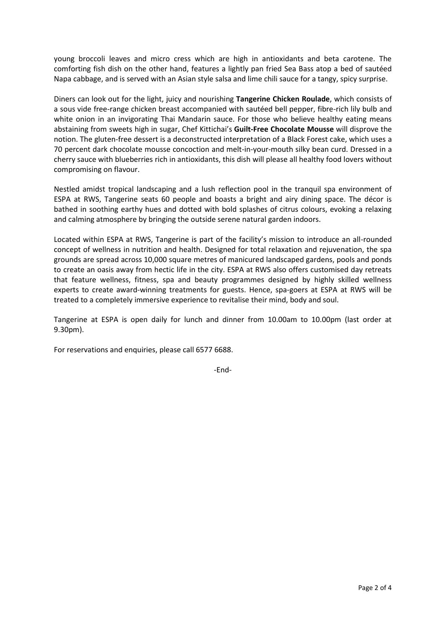young broccoli leaves and micro cress which are high in antioxidants and beta carotene. The comforting fish dish on the other hand, features a lightly pan fried Sea Bass atop a bed of sautéed Napa cabbage, and is served with an Asian style salsa and lime chili sauce for a tangy, spicy surprise.

Diners can look out for the light, juicy and nourishing **Tangerine Chicken Roulade**, which consists of a sous vide free-range chicken breast accompanied with sautéed bell pepper, fibre-rich lily bulb and white onion in an invigorating Thai Mandarin sauce. For those who believe healthy eating means abstaining from sweets high in sugar, Chef Kittichai's **Guilt-Free Chocolate Mousse** will disprove the notion. The gluten-free dessert is a deconstructed interpretation of a Black Forest cake, which uses a 70 percent dark chocolate mousse concoction and melt-in-your-mouth silky bean curd. Dressed in a cherry sauce with blueberries rich in antioxidants, this dish will please all healthy food lovers without compromising on flavour.

Nestled amidst tropical landscaping and a lush reflection pool in the tranquil spa environment of ESPA at RWS, Tangerine seats 60 people and boasts a bright and airy dining space. The décor is bathed in soothing earthy hues and dotted with bold splashes of citrus colours, evoking a relaxing and calming atmosphere by bringing the outside serene natural garden indoors.

Located within ESPA at RWS, Tangerine is part of the facility's mission to introduce an all-rounded concept of wellness in nutrition and health. Designed for total relaxation and rejuvenation, the spa grounds are spread across 10,000 square metres of manicured landscaped gardens, pools and ponds to create an oasis away from hectic life in the city. ESPA at RWS also offers customised day retreats that feature wellness, fitness, spa and beauty programmes designed by highly skilled wellness experts to create award-winning treatments for guests. Hence, spa-goers at ESPA at RWS will be treated to a completely immersive experience to revitalise their mind, body and soul.

Tangerine at ESPA is open daily for lunch and dinner from 10.00am to 10.00pm (last order at 9.30pm).

For reservations and enquiries, please call 6577 6688.

-End-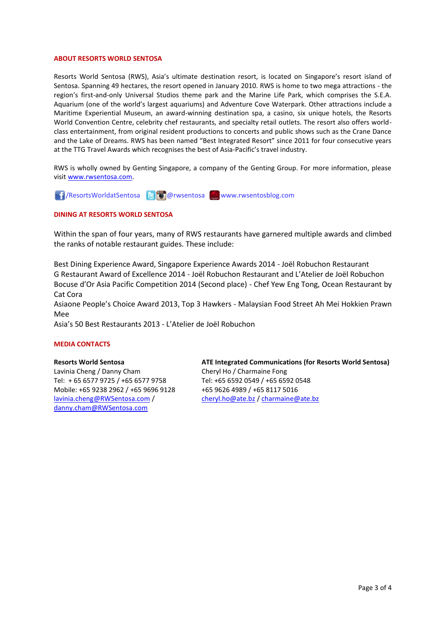### **ABOUT RESORTS WORLD SENTOSA**

Resorts World Sentosa (RWS), Asia's ultimate destination resort, is located on Singapore's resort island of Sentosa. Spanning 49 hectares, the resort opened in January 2010. RWS is home to two mega attractions - the region's first-and-only Universal Studios theme park and the Marine Life Park, which comprises the S.E.A. Aquarium (one of the world's largest aquariums) and Adventure Cove Waterpark. Other attractions include a Maritime Experiential Museum, an award-winning destination spa, a casino, six unique hotels, the Resorts World Convention Centre, celebrity chef restaurants, and specialty retail outlets. The resort also offers worldclass entertainment, from original resident productions to concerts and public shows such as the Crane Dance and the Lake of Dreams. RWS has been named "Best Integrated Resort" since 2011 for four consecutive years at the TTG Travel Awards which recognises the best of Asia-Pacific's travel industry.

RWS is wholly owned by Genting Singapore, a company of the Genting Group. For more information, please visi[t www.rwsentosa.com.](http://www.rwsentosa.com/)

**1** /ResortsWorldatSentosa **@** @rwsentosa **Www.rwsentosblog.com** 

## **DINING AT RESORTS WORLD SENTOSA**

Within the span of four years, many of RWS restaurants have garnered multiple awards and climbed the ranks of notable restaurant guides. These include:

Best Dining Experience Award, Singapore Experience Awards 2014 - Joël Robuchon Restaurant G Restaurant Award of Excellence 2014 - Joël Robuchon Restaurant and L'Atelier de Joël Robuchon Bocuse d'Or Asia Pacific Competition 2014 (Second place) - Chef Yew Eng Tong, Ocean Restaurant by Cat Cora

Asiaone People's Choice Award 2013, Top 3 Hawkers - Malaysian Food Street Ah Mei Hokkien Prawn Mee

Asia's 50 Best Restaurants 2013 - L'Atelier de Joël Robuchon

### **MEDIA CONTACTS**

### **Resorts World Sentosa**

Lavinia Cheng / Danny Cham Tel: + 65 6577 9725 / +65 6577 9758 Mobile: +65 9238 2962 / +65 9696 9128 [lavinia.cheng@RWSentosa.com](mailto:lavinia.cheng@RWSentosa.com) / [danny.cham@RWSentosa.com](mailto:danny.cham@RWSentosa.com)

**ATE Integrated Communications (for Resorts World Sentosa)** Cheryl Ho / Charmaine Fong Tel: +65 6592 0549 / +65 6592 0548 +65 9626 4989 / +65 8117 5016 [cheryl.ho@ate.bz](mailto:cheryl.ho@ate.bz) [/ charmaine@ate.bz](mailto:charmaine@ate.bz)